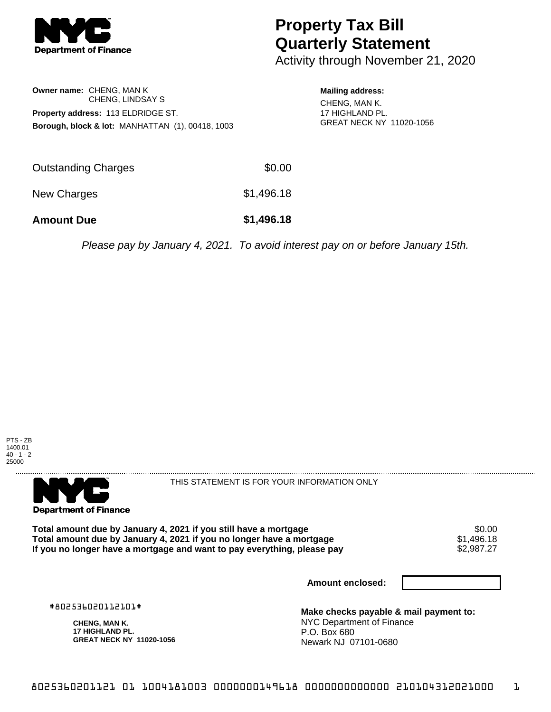

# **Property Tax Bill Quarterly Statement**

Activity through November 21, 2020

#### **Owner name:** CHENG, MAN K CHENG, LINDSAY S **Property address:** 113 ELDRIDGE ST. **Borough, block & lot:** MANHATTAN (1), 00418, 1003

### **Mailing address:** CHENG, MAN K.

17 HIGHLAND PL. GREAT NECK NY 11020-1056

| <b>Amount Due</b>   | \$1,496.18 |
|---------------------|------------|
| New Charges         | \$1,496.18 |
| Outstanding Charges | \$0.00     |

Please pay by January 4, 2021. To avoid interest pay on or before January 15th.





THIS STATEMENT IS FOR YOUR INFORMATION ONLY

Total amount due by January 4, 2021 if you still have a mortgage \$0.00<br>Total amount due by January 4, 2021 if you no longer have a mortgage \$1.496.18 **Total amount due by January 4, 2021 if you no longer have a mortgage**  $$1,496.18$$ **<br>If you no longer have a mortgage and want to pay everything, please pay**  $$2,987.27$$ If you no longer have a mortgage and want to pay everything, please pay

**Amount enclosed:**

#802536020112101#

**CHENG, MAN K. 17 HIGHLAND PL. GREAT NECK NY 11020-1056**

**Make checks payable & mail payment to:** NYC Department of Finance P.O. Box 680 Newark NJ 07101-0680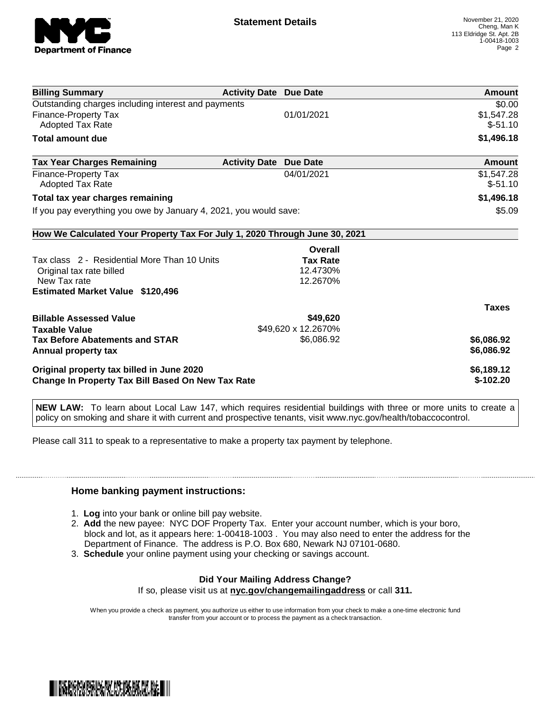

| <b>Billing Summary</b>                                                     | <b>Activity Date Due Date</b> |                     | Amount        |
|----------------------------------------------------------------------------|-------------------------------|---------------------|---------------|
| Outstanding charges including interest and payments                        |                               |                     | \$0.00        |
| Finance-Property Tax                                                       |                               | 01/01/2021          | \$1,547.28    |
| Adopted Tax Rate                                                           |                               |                     | $$-51.10$     |
| <b>Total amount due</b>                                                    |                               |                     | \$1,496.18    |
| <b>Tax Year Charges Remaining</b>                                          | <b>Activity Date</b>          | <b>Due Date</b>     | <b>Amount</b> |
| Finance-Property Tax                                                       |                               | 04/01/2021          | \$1,547.28    |
| Adopted Tax Rate                                                           |                               |                     | $$-51.10$     |
| Total tax year charges remaining                                           |                               |                     | \$1,496.18    |
| If you pay everything you owe by January 4, 2021, you would save:          |                               |                     | \$5.09        |
| How We Calculated Your Property Tax For July 1, 2020 Through June 30, 2021 |                               |                     |               |
|                                                                            |                               | Overall             |               |
| Tax class 2 - Residential More Than 10 Units                               |                               | <b>Tax Rate</b>     |               |
| Original tax rate billed                                                   |                               | 12.4730%            |               |
| New Tax rate                                                               |                               | 12.2670%            |               |
| <b>Estimated Market Value \$120,496</b>                                    |                               |                     |               |
|                                                                            |                               |                     | <b>Taxes</b>  |
| <b>Billable Assessed Value</b>                                             |                               | \$49,620            |               |
| <b>Taxable Value</b>                                                       |                               | \$49,620 x 12.2670% |               |
| <b>Tax Before Abatements and STAR</b>                                      |                               | \$6,086.92          | \$6,086.92    |
| Annual property tax                                                        |                               |                     | \$6,086.92    |
| Original property tax billed in June 2020                                  |                               |                     | \$6,189.12    |
| <b>Change In Property Tax Bill Based On New Tax Rate</b>                   |                               |                     | $$-102.20$    |

**NEW LAW:** To learn about Local Law 147, which requires residential buildings with three or more units to create a policy on smoking and share it with current and prospective tenants, visit www.nyc.gov/health/tobaccocontrol.

Please call 311 to speak to a representative to make a property tax payment by telephone.

#### **Home banking payment instructions:**

- 1. **Log** into your bank or online bill pay website.
- 2. **Add** the new payee: NYC DOF Property Tax. Enter your account number, which is your boro, block and lot, as it appears here: 1-00418-1003 . You may also need to enter the address for the Department of Finance. The address is P.O. Box 680, Newark NJ 07101-0680.
- 3. **Schedule** your online payment using your checking or savings account.

## **Did Your Mailing Address Change?**

If so, please visit us at **nyc.gov/changemailingaddress** or call **311.**

When you provide a check as payment, you authorize us either to use information from your check to make a one-time electronic fund transfer from your account or to process the payment as a check transaction.